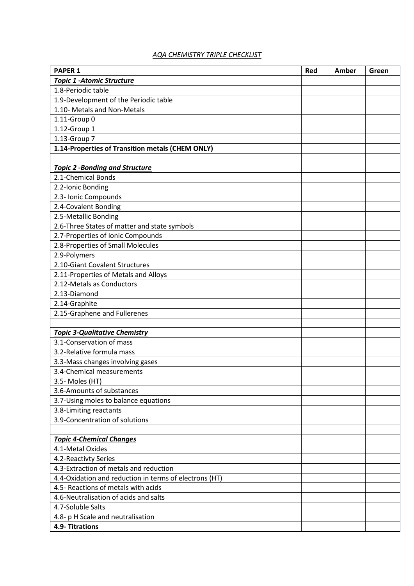## *AQA CHEMISTRY TRIPLE CHECKLIST*

| <b>PAPER 1</b>                                         | Red | Amber | Green |
|--------------------------------------------------------|-----|-------|-------|
| <b>Topic 1 -Atomic Structure</b>                       |     |       |       |
| 1.8-Periodic table                                     |     |       |       |
| 1.9-Development of the Periodic table                  |     |       |       |
| 1.10- Metals and Non-Metals                            |     |       |       |
| 1.11-Group 0                                           |     |       |       |
| 1.12-Group 1                                           |     |       |       |
| 1.13-Group 7                                           |     |       |       |
| 1.14-Properties of Transition metals (CHEM ONLY)       |     |       |       |
|                                                        |     |       |       |
| <b>Topic 2 -Bonding and Structure</b>                  |     |       |       |
| 2.1-Chemical Bonds                                     |     |       |       |
| 2.2-Ionic Bonding                                      |     |       |       |
| 2.3- Ionic Compounds                                   |     |       |       |
| 2.4-Covalent Bonding                                   |     |       |       |
| 2.5-Metallic Bonding                                   |     |       |       |
| 2.6-Three States of matter and state symbols           |     |       |       |
| 2.7-Properties of Ionic Compounds                      |     |       |       |
| 2.8-Properties of Small Molecules                      |     |       |       |
| 2.9-Polymers                                           |     |       |       |
| 2.10-Giant Covalent Structures                         |     |       |       |
| 2.11-Properties of Metals and Alloys                   |     |       |       |
| 2.12-Metals as Conductors                              |     |       |       |
| 2.13-Diamond                                           |     |       |       |
| 2.14-Graphite                                          |     |       |       |
| 2.15-Graphene and Fullerenes                           |     |       |       |
|                                                        |     |       |       |
| <b>Topic 3-Qualitative Chemistry</b>                   |     |       |       |
| 3.1-Conservation of mass                               |     |       |       |
| 3.2-Relative formula mass                              |     |       |       |
| 3.3-Mass changes involving gases                       |     |       |       |
| 3.4-Chemical measurements                              |     |       |       |
| 3.5- Moles (HT)                                        |     |       |       |
| 3.6-Amounts of substances                              |     |       |       |
| 3.7-Using moles to balance equations                   |     |       |       |
| 3.8-Limiting reactants                                 |     |       |       |
| 3.9-Concentration of solutions                         |     |       |       |
|                                                        |     |       |       |
| <b>Topic 4-Chemical Changes</b>                        |     |       |       |
| 4.1-Metal Oxides                                       |     |       |       |
| 4.2-Reactivty Series                                   |     |       |       |
| 4.3-Extraction of metals and reduction                 |     |       |       |
| 4.4-Oxidation and reduction in terms of electrons (HT) |     |       |       |
| 4.5- Reactions of metals with acids                    |     |       |       |
| 4.6-Neutralisation of acids and salts                  |     |       |       |
| 4.7-Soluble Salts                                      |     |       |       |
| 4.8- p H Scale and neutralisation                      |     |       |       |
| <b>4.9- Titrations</b>                                 |     |       |       |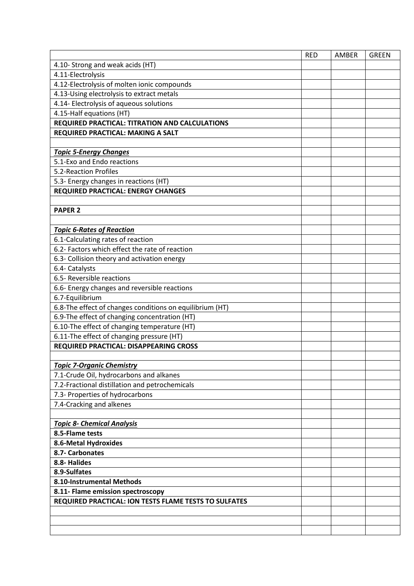|                                                          | <b>RED</b> | AMBER | <b>GREEN</b> |
|----------------------------------------------------------|------------|-------|--------------|
| 4.10- Strong and weak acids (HT)                         |            |       |              |
| 4.11-Electrolysis                                        |            |       |              |
| 4.12-Electrolysis of molten ionic compounds              |            |       |              |
| 4.13-Using electrolysis to extract metals                |            |       |              |
| 4.14- Electrolysis of aqueous solutions                  |            |       |              |
| 4.15-Half equations (HT)                                 |            |       |              |
| REQUIRED PRACTICAL: TITRATION AND CALCULATIONS           |            |       |              |
| <b>REQUIRED PRACTICAL: MAKING A SALT</b>                 |            |       |              |
|                                                          |            |       |              |
| <b>Topic 5-Energy Changes</b>                            |            |       |              |
| 5.1-Exo and Endo reactions                               |            |       |              |
| 5.2-Reaction Profiles                                    |            |       |              |
| 5.3- Energy changes in reactions (HT)                    |            |       |              |
| <b>REQUIRED PRACTICAL: ENERGY CHANGES</b>                |            |       |              |
|                                                          |            |       |              |
| <b>PAPER 2</b>                                           |            |       |              |
|                                                          |            |       |              |
| <b>Topic 6-Rates of Reaction</b>                         |            |       |              |
| 6.1-Calculating rates of reaction                        |            |       |              |
| 6.2- Factors which effect the rate of reaction           |            |       |              |
| 6.3- Collision theory and activation energy              |            |       |              |
| 6.4- Catalysts                                           |            |       |              |
| 6.5- Reversible reactions                                |            |       |              |
| 6.6- Energy changes and reversible reactions             |            |       |              |
| 6.7-Equilibrium                                          |            |       |              |
| 6.8-The effect of changes conditions on equilibrium (HT) |            |       |              |
| 6.9-The effect of changing concentration (HT)            |            |       |              |
| 6.10-The effect of changing temperature (HT)             |            |       |              |
| 6.11-The effect of changing pressure (HT)                |            |       |              |
| <b>REQUIRED PRACTICAL: DISAPPEARING CROSS</b>            |            |       |              |
|                                                          |            |       |              |
| <b>Topic 7-Organic Chemistry</b>                         |            |       |              |
| 7.1-Crude Oil, hydrocarbons and alkanes                  |            |       |              |
| 7.2-Fractional distillation and petrochemicals           |            |       |              |
| 7.3- Properties of hydrocarbons                          |            |       |              |
| 7.4-Cracking and alkenes                                 |            |       |              |
|                                                          |            |       |              |
| <b>Topic 8- Chemical Analysis</b>                        |            |       |              |
| 8.5-Flame tests                                          |            |       |              |
| 8.6-Metal Hydroxides                                     |            |       |              |
| 8.7- Carbonates                                          |            |       |              |
| 8.8- Halides                                             |            |       |              |
| 8.9-Sulfates                                             |            |       |              |
| 8.10-Instrumental Methods                                |            |       |              |
| 8.11- Flame emission spectroscopy                        |            |       |              |
| REQUIRED PRACTICAL: ION TESTS FLAME TESTS TO SULFATES    |            |       |              |
|                                                          |            |       |              |
|                                                          |            |       |              |
|                                                          |            |       |              |